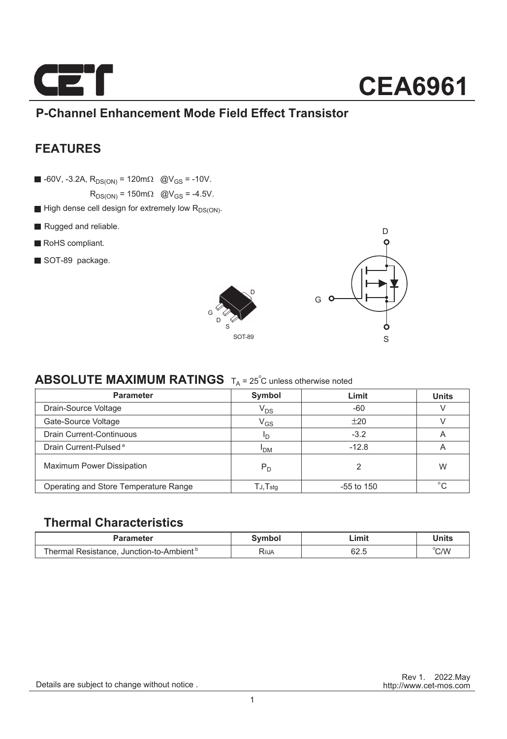

### **P-Channel Enhancement Mode Field Effect Transistor**

### **FEATURES**

 $\blacksquare$  -60V, -3.2A, R<sub>DS(ON)</sub> = 120m $\Omega$  @V<sub>GS</sub> = -10V.

 $R_{DS(ON)} = 150 \text{m}\Omega$  @V<sub>GS</sub> = -4.5V.

- $\blacksquare$  High dense cell design for extremely low  $R_{DS(ON)}$ .
- Rugged and reliable.
- RoHS compliant.
- SOT-89 package.





### **ABSOLUTE MAXIMUM RATINGS**  $T_A = 25^\circ C$  unless otherwise noted

| <b>Parameter</b>                      | Symbol                     | Limit        | <b>Units</b> |
|---------------------------------------|----------------------------|--------------|--------------|
| Drain-Source Voltage                  | $V_{DS}$                   | $-60$        |              |
| Gate-Source Voltage                   | $\mathsf{V}_{\mathsf{GS}}$ | ±20          |              |
| <b>Drain Current-Continuous</b>       | חי                         | $-3.2$       | A            |
| Drain Current-Pulsed <sup>a</sup>     | <sup>I</sup> DM            | $-12.8$      | A            |
| <b>Maximum Power Dissipation</b>      | $P_D$                      |              | W            |
| Operating and Store Temperature Range | $T$ J, $T$ stq             | $-55$ to 150 | $\circ$      |

### **Thermal Characteristics**

| Parameter                                            | Svmbol | Limit        | Units |
|------------------------------------------------------|--------|--------------|-------|
| Thermal Resistance. Junction-to-Ambient <sup>b</sup> | RθJA   | en E<br>0Z.C | °C/W  |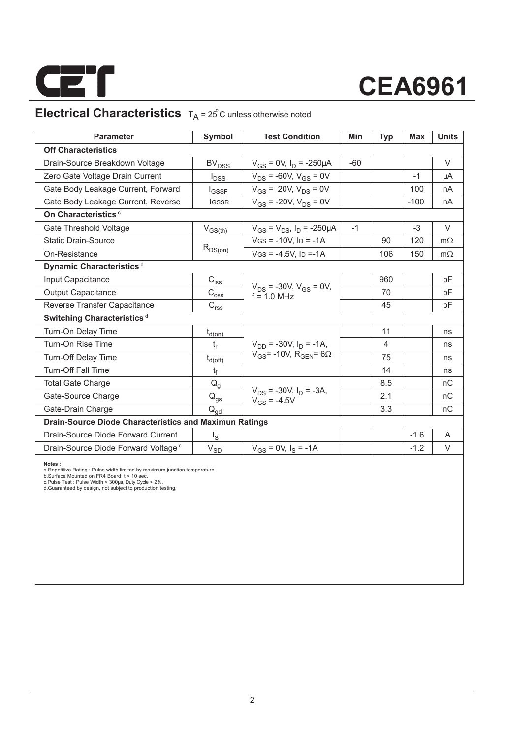

## **Electrical Characteristics**  $T_A = 25^\circ$ C unless otherwise noted

| <b>Parameter</b>                                       | Symbol                                                                | <b>Test Condition</b>                             | Min   | Typ | <b>Max</b> | <b>Units</b> |  |  |  |
|--------------------------------------------------------|-----------------------------------------------------------------------|---------------------------------------------------|-------|-----|------------|--------------|--|--|--|
| <b>Off Characteristics</b>                             |                                                                       |                                                   |       |     |            |              |  |  |  |
| Drain-Source Breakdown Voltage                         | <b>BV<sub>DSS</sub></b>                                               | $V_{GS} = 0V$ , $I_D = -250 \mu A$                | $-60$ |     |            | $\vee$       |  |  |  |
| Zero Gate Voltage Drain Current                        | $I_{\text{DSS}}$                                                      | $V_{DS}$ = -60V, $V_{GS}$ = 0V                    |       |     | $-1$       | μA           |  |  |  |
| Gate Body Leakage Current, Forward                     | $I_{GSSF}$                                                            | $V_{GS} = 20V, V_{DS} = 0V$                       |       |     | 100        | nA           |  |  |  |
| Gate Body Leakage Current, Reverse                     | <b>IGSSR</b>                                                          | $V_{GS}$ = -20V, $V_{DS}$ = 0V                    |       |     | $-100$     | nA           |  |  |  |
| On Characteristics <sup>c</sup>                        |                                                                       |                                                   |       |     |            |              |  |  |  |
| Gate Threshold Voltage                                 | $V_{GS(th)}$                                                          | $V_{GS} = V_{DS}$ , $I_D = -250 \mu A$            | $-1$  |     | $-3$       | $\vee$       |  |  |  |
| <b>Static Drain-Source</b>                             |                                                                       | $V$ GS = -10V. ID = -1A                           |       | 90  | 120        | $m\Omega$    |  |  |  |
| On-Resistance                                          | $R_{DS(on)}$                                                          | $V$ GS = -4.5V. ID =-1A                           |       | 106 | 150        | $m\Omega$    |  |  |  |
| Dynamic Characteristics <sup>d</sup>                   |                                                                       |                                                   |       |     |            |              |  |  |  |
| Input Capacitance                                      | $C_{i\underline{s}\underline{s}}$                                     |                                                   |       | 960 |            | pF           |  |  |  |
| Output Capacitance                                     | $\text{C}_{\text{oss}}$                                               | $V_{DS}$ = -30V, $V_{GS}$ = 0V,<br>$f = 10$ MHz   |       | 70  |            | pF           |  |  |  |
| Reverse Transfer Capacitance                           | $\mathsf{C}_{\mathsf{r}\underline{\mathsf{s}}\underline{\mathsf{s}}}$ |                                                   |       | 45  |            | pF           |  |  |  |
| Switching Characteristics <sup>d</sup>                 |                                                                       |                                                   |       |     |            |              |  |  |  |
| Turn-On Delay Time                                     | $t_{d(on)}$                                                           |                                                   |       | 11  |            | ns           |  |  |  |
| Turn-On Rise Time                                      | $t_{r}$                                                               | $V_{DD}$ = -30V, $I_D$ = -1A,                     |       | 4   |            | ns           |  |  |  |
| Turn-Off Delay Time                                    | $t_{d(off)}$                                                          | $V_{GS}$ = -10V, R <sub>GEN</sub> = 6 $\Omega$    |       | 75  |            | ns           |  |  |  |
| <b>Turn-Off Fall Time</b>                              | t <sub>f</sub>                                                        |                                                   |       | 14  |            | ns           |  |  |  |
| <b>Total Gate Charge</b>                               | $Q_q$                                                                 |                                                   |       | 8.5 |            | nC           |  |  |  |
| Gate-Source Charge                                     | $\mathsf{Q}_{\underline{\mathsf{q}\mathsf{s}}}$                       | $V_{DS}$ = -30V, $I_D$ = -3A,<br>$V_{GS} = -4.5V$ |       | 2.1 |            | nC           |  |  |  |
| Gate-Drain Charge                                      | $Q_{\text{ad}}$                                                       |                                                   |       | 3.3 |            | nC           |  |  |  |
| Drain-Source Diode Characteristics and Maximun Ratings |                                                                       |                                                   |       |     |            |              |  |  |  |
| Drain-Source Diode Forward Current                     | اج                                                                    |                                                   |       |     | $-1.6$     | A            |  |  |  |
| Drain-Source Diode Forward Voltage <sup>c</sup>        | $\mathsf{V}_{\mathsf{S}\underline{\mathsf{D}}}$                       | $V_{GS} = 0V$ , $I_S = -1A$                       |       |     | $-1.2$     | V            |  |  |  |
|                                                        |                                                                       |                                                   |       |     |            |              |  |  |  |

**Notes :**<br>a.Repetitive Rating : Pulse width limited by maximum junction temperature<br>b.Surface Mounted on FR4 Board, t ≤ 10 sec.<br>c.Pulse Test : Pulse Width ≤ 300µs, Duly Cyde ≤ 2%.<br>d.Guaranteed by design, not subject to pr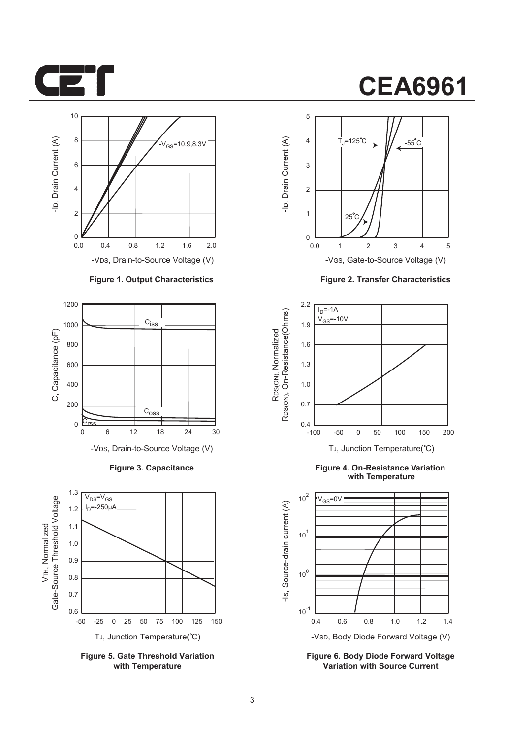



#### **Figure 1. Output Characteristics**



**Figure 3. Capacitance**



**Figure 5. Gate Threshold Variation with Temperature**

# **CEA6961**



**Figure 2. Transfer Characteristics**



**Figure 4. On-Resistance Variation with Temperature**



**Figure 6. Body Diode Forward Voltage Variation with Source Current**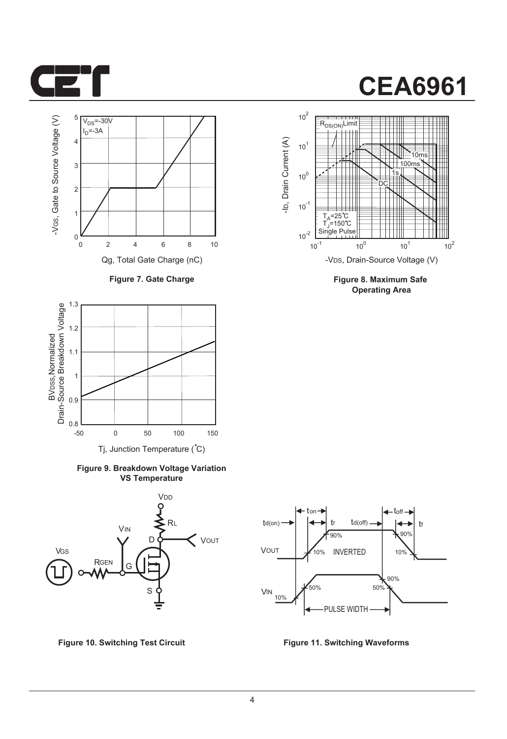



### **Figure 7. Gate Charge**



**Figure 9. Breakdown Voltage Variation VS Temperature**





**Figure 8. Maximum Safe Operating Area**



**Figure 10. Switching Test Circuit Figure 11. Switching Waveforms**